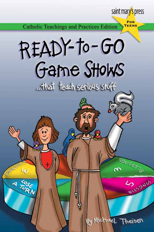

FOR

EENS

**Catholic Teachings and Practices Edition** 

# READY-TO-GO Game Stows

... that teach serious stuff

 $\epsilon_0$ 

A fest

Michael Theisen

SON/SSS TON B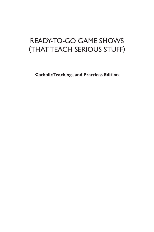# READY-TO-GO GAME SHOWS (THAT TEACH SERIOUS STUFF)

**Catholic Teachings and Practices Edition**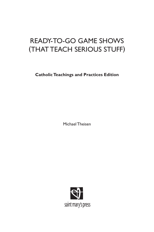# READY-TO-GO GAME SHOWS (THAT TEACH SERIOUS STUFF)

**Catholic Teachings and Practices Edition**

Michael Theisen

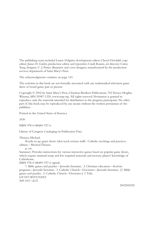The publishing team included Laurie Delgatto, development editor; Cheryl Drivdahl, copy editor; James H. Gurley, production editor and typesetter; Cindi Ramm, art director; Cären Yang, designer; C. J. Potter, illustrator and cover designer; manufactured by the production services department of Saint Mary's Press.

The acknowedgments continue on page 143.

The activities in this book are not formally associated with any trademarked television game show or board game, past or present.

Copyright © 2002 by Saint Mary's Press, Christian Brothers Publications, 702 Terrace Heights, Winona, MN 55987-1320, www.smp.org. All rights reserved. Permission is granted to reproduce only the materials intended for distribution to the program participants. No other part of this book may be reproduced by any means without the written permission of the publisher.

Printed in the United States of America

3430

ISBN 978-0-88489-757-6

Library of Congress Cataloging-in-Publication Data

Theisen, Michael.

Ready-to-go game shows (that teach serious stuff) : Catholic teachings and practices edition / Michael Theisen.

p. cm.

Summary: Provides instructions for various interactive games based on popular game shows, which require minimal setup and few required materials and increase players' knowledge of Catholicism.

ISBN 978-0-88489-757-6 (spiral)

1. Bible games and puzzles—Juvenile literature. 2. Christian education—Activity programs—Juvenile literature. 3. Catholic Church—Doctrines—Juvenile literature. [1. Bible games and puzzles. 2. Catholic Church—Doctrines.] I.Title. GV1507.B5T5332002 268'.433—dc21

2002000225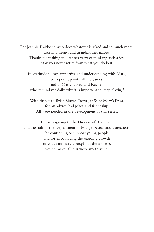For Jeannie Raisbeck, who does whatever is asked and so much more: assistant, friend, and grandmother galore. Thanks for making the last ten years of ministry such a joy. May you never retire from what you do best!

In gratitude to my supportive and understanding wife, Mary, who puts up with all my games, and to Chris, David, and Rachel, who remind me daily why it is important to keep playing!

With thanks to Brian Singer-Towns, at Saint Mary's Press, for his advice, bad jokes, and friendship. All were needed in the development of this series.

In thanksgiving to the Diocese of Rochester and the staff of the Department of Evangelization and Catechesis, for continuing to support young people, and for encouraging the ongoing growth of youth ministry throughout the diocese, which makes all this work worthwhile.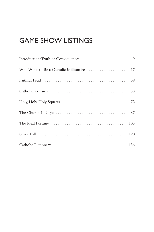# GAME SHOW LISTINGS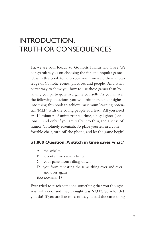# INTRODUCTION: TRUTH OR CONSEQUENCES

Hi; we are your Ready-to-Go hosts, Francis and Clare! We congratulate you on choosing the fun and popular game ideas in this book to help your youth increase their knowledge of Catholic events, practices, and people. And what better way to show you how to use these games than by having you participate in a game yourself? As you answer the following questions, you will gain incredible insights into using this book to achieve maximum learning potential (MLP) with the young people you lead. All you need are 10 minutes of uninterrupted time, a highlighter (optional—and only if you are really into this), and a sense of humor (absolutely essential). So place yourself in a comfortable chair, turn off the phone, and let the game begin!

#### **\$1,000 Question: A stitch in time saves what?**

- A. the whales
- B. seventy times seven times
- C. your pants from falling down
- D. you from repeating the same thing over and over and over again

*Best response.* D

Ever tried to teach someone something that you thought was really cool and they thought was NOT!? So what did you do? If you are like most of us, you said the same thing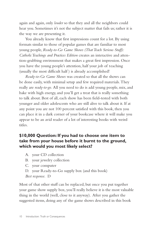again and again, only *louder* so that they and all the neighbors could hear you. Sometimes it's not the subject matter that fails us; rather it is the way we are presenting it.

You already know that first impressions count for a lot. By using formats similar to those of popular games that are familiar to most young people, *Ready-to-Go Game Shows (That Teach Serious Stuff): Catholic Teachings and Practices Edition* creates an interactive and attention-grabbing environment that makes a great first impression. Once you have the young people's attention, half your job of teaching (usually the most difficult half ) is already accomplished!

*Ready-to-Go Game Shows* was created so that all the shows can be done easily, with minimal setup and few required materials.They really are *ready-to-go.* All you need to do is add young people, mix, and bake with high energy, and you'll get a treat that is really something to talk about. Best of all, each show has been field-tested with both younger and older adolescents who are still alive to talk about it. If at any point you are not 100 percent satisfied with this book, then you can place it in a dark corner of your bookcase where it will make you appear to be an avid reader of a lot of interesting books with weird titles.

# **\$10,000 Question: If you had to choose one item to take from your house before it burnt to the ground, which would you most likely select?**

- A. your CD collection
- B. your jewelry collection
- C. your computer
- D. your Ready-to-Go supply box (and this book) *Best response.* D

Most of that other stuff can be replaced, but once you put together your game show supply box, you'll really believe it is the most valuable thing in the world (well, close to it anyway). After you gather the suggested items, doing any of the game shows described in this book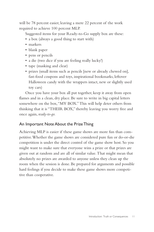will be 78 percent easier, leaving a mere 22 percent of the work required to achieve 100 percent MLP.

Suggested items for your Ready-to-Go supply box are these:

- a box (always a good thing to start with)
- markers
- blank paper
- pens or pencils
- a die (two dice if you are feeling really lucky!)
- tape (masking and clear)
- prizes (small items such as pencils [new or already chewed on], fast-food coupons and toys, inspirational bookmarks, leftover Halloween candy with the wrappers intact, new or slightly used toy cars)

Once you have your box all put together, keep it away from open flames and in a clean, dry place. Be sure to write in big capital letters somewhere on the box,"MY BOX." This will help deter others from thinking that it is "THEIR BOX," thereby leaving you worry free and once again, *ready-to-go.*

# An Important Note About the Prize Thing

Achieving MLP is easier if these game shows are more fun than competitive.Whether the game shows are considered pure fun or do-or-die competition is under the direct control of the game show host. So you might want to make sure that everyone wins a prize or that prizes are given out at random and are all of similar value.That might mean that absolutely no prizes are awarded to anyone unless they clean up the room when the session is done. Be prepared for arguments and possible hard feelings if you decide to make these game shows more competitive than cooperative.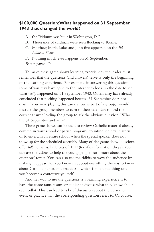## **\$100,000 Question:What happened on 31 September 1943 that changed the world?**

- A. the Triduum was built in Washington, D.C.
- B. Thousands of cardinals were seen flocking to Rome.
- C. Matthew, Mark, Luke, and John first appeared on the *Ed Sullivan Show.*

D. Nothing much ever happens on 31 September. *Best response.* D

To make these game shows learning experiences, the leader must remember that the questions (and answers) serve as only the beginning of the learning experience. For example, in answering this question, some of you may have gone to the Internet to look up the date to see what *really* happened on 31 September 1943. Others may have already concluded that nothing happened because 31 September does not exist. If you were playing this game show as part of a group, I would instruct the group members to turn to their calendars to find the correct answer, leading the group to ask the obvious question,"Who hid 31 September and why?"

These game shows can be used to review Catholic material already covered in your school or parish programs, to introduce new material, or to entertain an entire school when the special speaker does not show up for the scheduled assembly. Many of the game show questions offer *tidbits*, that is, little bits of TID (terrific information drops).You can use the tidbits to help the young people learn more about the questions' topics. You can also use the tidbits to wow the audience by making it appear that you know just about everything there is to know about Catholic beliefs and practices—which is not a bad thing until you become a contestant yourself.

Another way to use the questions as a learning experience is to have the contestants, teams, or audience discuss what they know about each tidbit.This can lead to a brief discussion about the person or event or practice that the corresponding question refers to. Of course,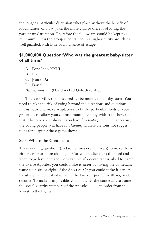the longer a particular discussion takes place without the benefit of food, humor, or a bad joke, the more chance there is of losing the participants'attention.Therefore the follow-up should be kept to a minimum unless the group is contained in a high-security area that is well guarded, with little or no chance of escape.

# **\$1,000,000 Question:Who was the greatest baby-sitter of all time?**

- A. Pope John XXIII
- B. Eve
- C. Joan of Arc
- D. David

*Best response.* D (David rocked Goliath to sleep.)

To create MLP, the host needs to be more than a baby-sitter. You need to take the risk of going beyond the directions and questions in this book and make adaptations to fit the particular needs of your group. Please allow yourself maximum flexibility with each show so that it becomes *your* show. If you have fun *leading* it, then chances are, the young people will have fun *learning* it. Here are four hot suggestions for adapting these game shows.

# Start Where the Contestant Is

Try rewording questions (and sometimes even answers) to make them either easier or more challenging for your audience, as the need and knowledge level demand. For example, if a contestant is asked to name the twelve Apostles, you could make it easier by having the contestant name four, six, or eight of the Apostles. Or you could make it harder by asking the contestant to name the twelve Apostles in 30, 45, or 60 seconds.To make it impossible, you could ask the contestant to name the social security numbers of the Apostles . . . in order from the lowest to the highest.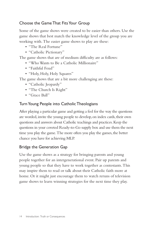# Choose the Game That Fits Your Group

Some of the game shows were created to be easier than others. Use the game shows that best match the knowledge level of the group you are working with.The easier game shows to play are these:

- "The Real Fortune"
- "Catholic Pictionary"

The game shows that are of medium difficulty are as follows:

- "Who Wants to Be a Catholic Millionaire"
- "Faithful Feud"
- "Holy, Holy, Holy Squares"

The game shows that are a bit more challenging are these:

- "Catholic Jeopardy"
- "The Church Is Right"
- "Grace Ball"

#### Turn Young People into Catholic Theologians

After playing a particular game and getting a feel for the way the questions are worded, invite the young people to develop, on index cards, their own questions and answers about Catholic teachings and practices.Keep the questions in your coveted Ready-to-Go supply box and use them the next time you play the game. The more often you play the games, the better chance you have for achieving MLP.

#### Bridge the Generation Gap

Use the game shows as a strategy for bringing parents and young people together for an intergenerational event. Pair up parents and young people so that they have to work together as contestants.This may inspire them to read or talk about their Catholic faith more at home. Or it might just encourage them to watch reruns of television game shows to learn winning strategies for the next time they play.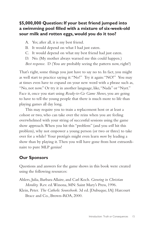# **\$5,000,000 Question: If your best friend jumped into a swimming pool filled with a mixture of six-week-old sour milk and rotten eggs, would you do it too?**

A. Yes;after all, it is my best friend.

B. It would depend on what I had just eaten.

- C. It would depend on what my best friend had just eaten.
- D. No. (My mother always warned me this could happen.)

*Best response.* D (You are probably seeing the pattern now, right?)

That's right, some things you just have to say no to. In fact, you might as well start to practice saying it:"No!" Try it again:"NO!" You may at times even have to expand on your new word with a phrase such as, "No, not now." Or try it in another language, like,"Nada" or "Nyet." Face it, once you start using *Ready-to-Go Game Shows,* you are going to have to tell the young people that there is much more to life than playing games all day long.

This may require you to train a replacement host or at least a cohost or two, who can take over the reins when you are feeling overwhelmed with your string of successful sessions using the game show approach.When you hit this "problem" (and you *will* hit this problem), why not empower a young person (or two or three) to take over for a while? Your protégés might even learn *more* by leading a show than by playing it.Then you will have gone from host extraordinaire to pure MLP genius!

#### **Our Sponsors**

Questions and answers for the game shows in this book were created using the following resources:

- Ahlers, Julia, Barbara Allaire, and Carl Koch. *Growing in Christian Morality.* Rev. ed.Winona, MN: Saint Mary's Press, 1996.
- Klein, Peter. *The Catholic Sourcebook.* 3d ed. [Dubuque, IA]: Harcourt Brace and Co., Brown-ROA, 2000.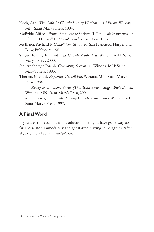- Koch, Carl. *The Catholic Church: Journey,Wisdom, and Mission.*Winona, MN: Saint Mary's Press, 1994.
- McBride,Alfred."From Pentecost to Vatican II:Ten 'Peak Moments' of Church History." In *Catholic Update,* no. 0687, 1987.
- McBrien, Richard P. *Catholicism.* Study ed. San Francisco: Harper and Row, Publishers, 1981.
- Singer-Towns, Brian, ed. *The Catholic Youth Bible.* Winona, MN: Saint Mary's Press, 2000.
- Stoutzenberger, Joseph. *Celebrating Sacraments.*Winona, MN: Saint Mary's Press, 1993.
- Theisen, Michael. *Exploring Catholicism.*Winona, MN: Saint Mary's Press, 1996.
	- \_\_\_\_\_. *Ready-to-Go Game Shows (That Teach Serious Stuff): Bible Editon.* Winona, MN: Saint Mary's Press, 2001.
- Zanzig,Thomas, et al. *Understanding Catholic Christianity.*Winona, MN: Saint Mary's Press, 1997.

# **A Final Word**

If you are still reading this introduction, then you have gone way too far. Please stop immediately and get started playing some games. After all, they are all set and *ready-to-go!*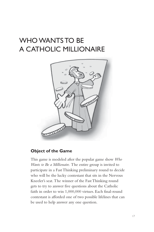# WHO WANTS TO BE A CATHOLIC MILLIONAIRE



# **Object of the Game**

This game is modeled after the popular game show *Who Wants to Be a Millionaire.* The entire group is invited to participate in a Fast Thinking preliminary round to decide who will be the lucky contestant that sits in the Nervous Kneeler's seat.The winner of the Fast Thinking round gets to try to answer five questions about the Catholic faith in order to win 1,000,000 virtues. Each final-round contestant is afforded one of two possible lifelines that can be used to help answer any one question.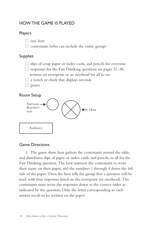# HOW THE GAME IS PLAYED

#### Players

- $\Box$  one host
- $\Box$  contestants (who can include the entire group)

#### Supplies

- $\Box$  slips of scrap paper or index cards, and pencils for everyone
- $\Box$  responses for the Fast Thinking questions on pages 21–38, written on newsprint or an overhead for all to see
- $\Box$  a watch or clock that displays seconds
- $\Box$  prizes

#### Room Setup



#### Game Directions

1. The game show host gathers the contestants around the table, and distributes slips of paper or index cards, and pencils, to all for the Fast Thinking question.The host instructs the contestants to write their name on their paper, and the numbers 1 through 4 down the left side of the paper.Then the host tells the group that a question will be read, with four responses listed on the newsprint (or overhead).The contestants must write the responses down in the correct order as indicated by the question. Only the letter corresponding to each answer needs to be written on the paper.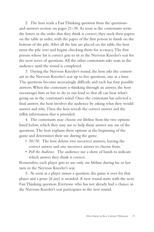2. The host reads a Fast Thinking question from the questionsand-answers section on pages 21–38. As soon as the contestants write the letters in the order that they think is correct, they stack their papers on the table in order, with the paper of the first person to finish on the bottom of the pile. After all the lists are placed on the table, the host turns the pile over and begins checking them for accuracy.The first person whose list is correct gets to sit in the Nervous Kneeler's seat for the next series of questions. All the other contestants take seats in the audience until the round is completed.

3. During the Nervous Kneeler's round, the host asks the contestant in the Nervous Kneeler's seat up to five questions, one at a time. The questions become increasingly difficult, and each has four possible answers.When the contestant is thinking through an answer, the host encourages him or her to do so out loud so that all can hear what's going on in the contestant's mind. Once the contestant has selected a final answer, the host involves the audience by asking what they would answer and why.Then the host reveals the correct answer and the tidbit information that is provided.

4. The contestants may choose *one* lifeline from the two options listed below, which they may use to help them answer any *one* of the questions.The host explains these options at the beginning of the game and determines their use during the game.

- *50/50.* The host deletes two incorrect answers, leaving the correct answer and one incorrect answer to choose from.
- *Poll the Audience*. The audience use a show of hands to indicate which answer they think is correct.

Remember, each player gets to use only *one* lifeline during his or her turn in the Nervous Kneeler's seat.

5. As soon as a player misses a question, the game is over for that player and a prize (if any) is awarded. A new round starts with the next Fast Thinking question. Everyone who has not already had a chance in the Nervous Kneeler's seat participates in the new round.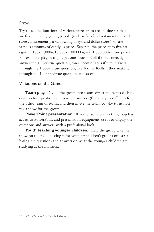#### Prizes

Try to secure donations of various prizes from area businesses that are frequented by young people (such as fast-food restaurants, record stores, amusement parks, bowling alleys, and dollar stores), or use various amounts of candy as prizes. Separate the prizes into five categories: 100-, 1,000-, 10,000-, 100,000-, and 1,000,000-virtue prizes. For example, players might get one Tootsie Roll if they correctly answer the 100-virtue question, three Tootsie Rolls if they make it through the 1,000-virtue question, five Tootsie Rolls if they make it through the 10,000-virtue question, and so on.

#### Variations on the Game

**Team play.** Divide the group into teams, direct the teams each to develop five questions and possible answers (from easy to difficult) for the other team or teams, and then invite the teams to take turns hosting a show for the group.

**PowerPoint presentation.** If you or someone in the group has access to PowerPoint and presentation equipment, use it to display the questions and answers with a professional look.

**Youth teaching younger children.** Help the group take the show on the road, hosting it for younger children's groups or classes, basing the questions and answers on what the younger children are studying at the moment.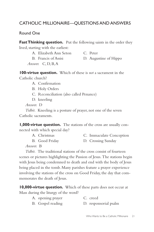# CATHOLIC MILLIONAIRE—QUESTIONS AND ANSWERS

Round One

**Fast Thinking question.** Put the following saints in the order they lived, starting with the earliest:

A. Elizabeth Ann Seton C. Peter

*Answer.* C, D, B,A

B. Francis of Assisi D. Augustine of Hippo

**100-virtue question.** Which of these is *not* a sacrament in the Catholic church?

- A. Confirmation
- B. Holy Orders
- C. Reconciliation (also called Penance)
- D. kneeling

*Answer.* D

*Tidbit.* Kneeling is a posture of prayer, not one of the seven Catholic sacraments.

**1,000-virtue question.** The stations of the cross are usually connected with which special day?

|  | A. Christmas |  | C. Immaculate Conception |  |
|--|--------------|--|--------------------------|--|
|--|--------------|--|--------------------------|--|

- B. Good Friday D. Crossing Sunday
- -
- 

*Answer.* B

*Tidbit.* The traditional stations of the cross consist of fourteen scenes or pictures highlighting the Passion of Jesus.The stations begin with Jesus being condemned to death and end with the body of Jesus being placed in the tomb. Many parishes feature a prayer experience involving the stations of the cross on Good Friday, the day that commemorates the death of Jesus.

**10,000-virtue question.** Which of these parts does not occur at Mass during the liturgy of the word?

- A. opening prayer C. creed
- B. Gospel reading D. responsorial psalm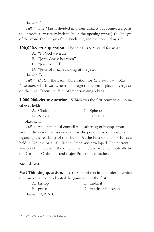*Answer.* A

*Tidbit.* The Mass is divided into four distinct but connected parts: the introductory rite (which includes the opening prayer), the liturgy of the word, the liturgy of the Eucharist, and the concluding rite.

#### **100,000-virtue question.** The initials *INRI* stand for what?

- A. "In God we trust"
- B. "Jesus Christ has risen"
- C. "Jesus is Lord"
- D. "Jesus of Nazareth, king of the Jews"

*Answer.* D

*Tidbit. INRI* is the Latin abbreviation for *Iesus Nazarenus Rex Iudaeorum,* which was written on a sign the Romans placed over Jesus on the cross,"accusing" him of impersonating a king.

**1,000,000-virtue question.** Which was the first ecumenical council ever held?

| A. Chalcedon | C. Ephesus   |
|--------------|--------------|
| B. Nicaea I  | D. Lateran I |

*Answer.* B

*Tidbit.* An ecumenical council is a gathering of bishops from around the world that is convened by the pope to make decisions regarding the teachings of the church. At the First Council of Nicaea, held in 325, the original Nicene Creed was developed. The current version of that creed is the only Christian creed accepted mutually by the Catholic, Orthodox, and major Protestant churches.

# Round Two

Fast Thinking question. List these ministers in the order in which they are ordained or elevated, beginning with the first:

A. bishop C. cardinal B. priest D. transitional deacon

*Answer.* D, B,A, C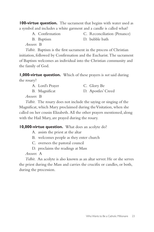**100-virtue question.** The sacrament that begins with water used as a symbol and includes a white garment and a candle is called what?

- 
- A. Confirmation C. Reconciliation (Penance)
- 
- B. Baptism D. bubble bath

*Answer.* B

*Tidbit.* Baptism is the first sacrament in the process of Christian initiation, followed by Confirmation and the Eucharist.The sacrament of Baptism welcomes an individual into the Christian community and the family of God.

**1,000-virtue question.** Which of these prayers is *not* said during the rosary?

| A. Lord's Prayer | C. Glory Be        |
|------------------|--------------------|
| B. Magnificat    | D. Apostles' Creed |

*Answer.* B

*Tidbit.* The rosary does not include the saying or singing of the Magnificat, which Mary proclaimed during the Visitation, when she called on her cousin Elizabeth. All the other prayers mentioned, along with the Hail Mary, are prayed during the rosary.

#### **10,000-virtue question.** What does an acolyte do?

- A. assists the priest at the altar
- B. welcomes people as they enter church
- C. oversees the pastoral council
- D. proclaims the readings at Mass

*Answer.* A

*Tidbit.* An acolyte is also known as an altar server. He or she serves the priest during the Mass and carries the crucifix or candles, or both, during the procession.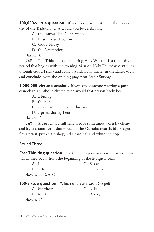**100,000-virtue question.** If you were participating in the second day of the Triduum, what would you be celebrating?

- A. the Immaculate Conception
- B. First Friday devotion
- C. Good Friday
- D. the Assumption

*Answer.* C

*Tidbit.* The Triduum occurs during Holy Week. It is a three-day period that begins with the evening Mass on Holy Thursday, continues through Good Friday and Holy Saturday, culminates in the Easter Vigil, and concludes with the evening prayer on Easter Sunday.

**1,000,000-virtue question.** If you saw someone wearing a purple cassock in a Catholic church, who would that person likely be?

- A. a bishop
- B. the pope
- C. a cardinal during an ordination
- D. a priest during Lent

*Answer.* A

*Tidbit.* A cassock is a full-length robe sometimes worn by clergy and lay assistants for ordinary use. In the Catholic church, black signifies a priest, purple a bishop, red a cardinal, and white the pope.

# Round Three

Fast Thinking question. List these liturgical seasons in the order in which they occur from the beginning of the liturgical year:

| A. Lent                | C. Easter    |
|------------------------|--------------|
| B. Advent              | D. Christmas |
| <i>Answer.</i> B.D.A.C |              |

**100-virtue question.** Which of these is *not* a Gospel?

| A. Matthew | C. Luke  |
|------------|----------|
| B. Mark    | D. Rocky |
| Answer. D  |          |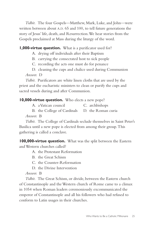*Tidbit.* The four Gospels—Matthew, Mark, Luke, and John—were written between about A.D. 65 and 100, to tell future generations the story of Jesus' life, death, and Resurrection.We hear stories from the Gospels proclaimed at Mass during the liturgy of the word.

# **1,000-virtue question.** What is a purificator used for?

- A. drying off individuals after their Baptism
- B. carrying the consecrated host to sick people
- C. recording the acts one must do for penance
- D. cleaning the cups and chalice used during Communion *Answer.* D

*Tidbit.* Purificators are white linen cloths that are used by the priest and the eucharistic ministers to clean or purify the cups and sacred vessels during and after Communion.

### **10,000-virtue question.** Who elects a new pope?

- A. a Vatican council C. archbishops
- B. the College of Cardinals D. the Roman curia

*Answer.* B

*Tidbit.* The College of Cardinals seclude themselves in Saint Peter's Basilica until a new pope is elected from among their group.This gathering is called a conclave.

**100,000-virtue question.** What was the split between the Eastern and Western churches called?

- A. the Protestant Reformation
- B. the Great Schism
- C. the Counter-Reformation
- D. the Divine Intervention

*Answer.* B

*Tidbit.* The Great Schism, or divide, between the Eastern church of Constantinople and the Western church of Rome came to a climax in 1054 when Roman leaders ceremoniously excommunicated the emperor of Constantinople and all his followers who had refused to conform to Latin usages in their churches.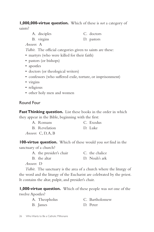**1,000,000-virtue question.** Which of these is *not* a category of saints?

- A. disciples C. doctors
- B. virgins D. pastors

*Answer.* A

*Tidbit.* The official categories given to saints are these:

- martyrs (who were killed for their faith)
- pastors (or bishops)
- apostles
- doctors (or theological writers)
- confessors (who suffered exile, torture, or imprisonment)
- virgins
- religious
- other holy men and women

# Round Four

**Fast Thinking question.** List these books in the order in which they appear in the Bible, beginning with the first:

| A. Romans          | C. Exodus |
|--------------------|-----------|
| B. Revelation      | D. Luke   |
| Answer. C, D, A, B |           |

**100-virtue question.** Which of these would you *not* find in the sanctuary of a church?

| A. the presider's chair | C. the chalice |
|-------------------------|----------------|
| B. the altar            | D. Noah's ark  |

*Answer.* D

*Tidbit.* The sanctuary is the area of a church where the liturgy of the word and the liturgy of the Eucharist are celebrated by the priest. It contains the altar, pulpit, and presider's chair.

**1,000-virtue question.** Which of these people was *not* one of the twelve Apostles?

| A. Theopholus | C. Bartholomew |
|---------------|----------------|
| B. James      | D. Peter       |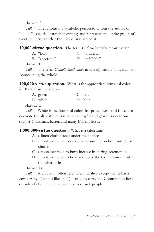*Answer.* A

*Tidbit.* Theopholus is a symbolic person to whom the author of Luke's Gospel dedicates that writing, and represents the entire group of Gentile Christians that the Gospel was aimed at.

**10,000-virtue question.** The term *Catholic* literally means what?

- A. "holy" C. "universal"
- B. "apostolic" D. "infallible"

*Answer.* C

*Tidbit.* The term *Catholic* (*katholikos* in Greek) means "universal" or "concerning the whole."

**100,000-virtue question.** What is the appropriate liturgical color for the Christmas season?

| A. green | C. red  |
|----------|---------|
| B. white | D. blue |

*Answer.* B

*Tidbit.* White is the liturgical color that priests wear and is used to decorate the altar.White is used on all joyful and glorious occasions, such as Christmas, Easter, and many Marian feasts.

#### **1,000,000-virtue question.** What is a ciborium?

- A. a linen cloth placed under the chalice
- B. a container used to carry the Communion host outside of church
- C. a container used to burn incense in during ceremonies
- D. a container used to hold and carry the Communion host in the tabernacle

*Answer.* D

*Tidbit.* A ciborium often resembles a chalice except that it has a cover. A pyx (sounds like "pic") is used to carry the Communion host outside of church, such as to shut-ins or sick people.